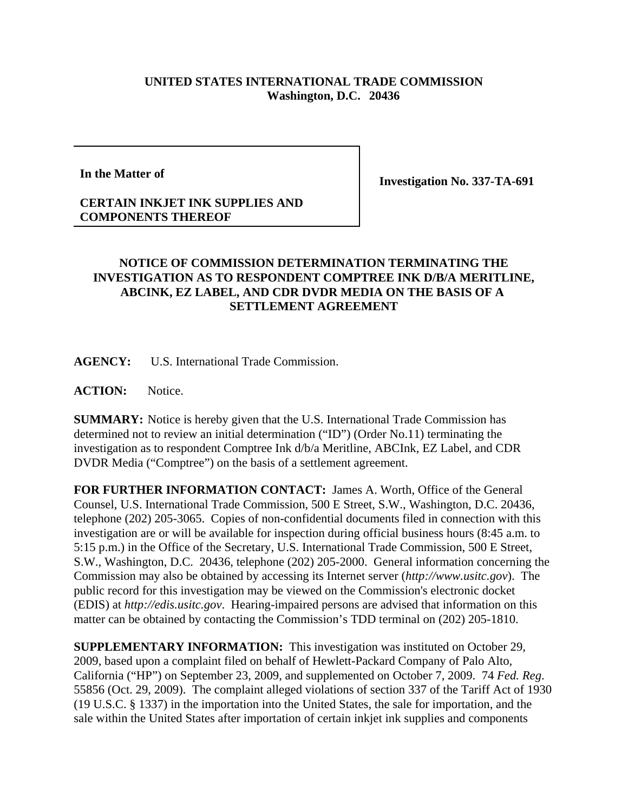## **UNITED STATES INTERNATIONAL TRADE COMMISSION Washington, D.C. 20436**

## **In the Matter of**

**Investigation No. 337-TA-691**

## **CERTAIN INKJET INK SUPPLIES AND COMPONENTS THEREOF**

## **NOTICE OF COMMISSION DETERMINATION TERMINATING THE INVESTIGATION AS TO RESPONDENT COMPTREE INK D/B/A MERITLINE, ABCINK, EZ LABEL, AND CDR DVDR MEDIA ON THE BASIS OF A SETTLEMENT AGREEMENT**

**AGENCY:** U.S. International Trade Commission.

**ACTION:** Notice.

**SUMMARY:** Notice is hereby given that the U.S. International Trade Commission has determined not to review an initial determination ("ID") (Order No.11) terminating the investigation as to respondent Comptree Ink d/b/a Meritline, ABCInk, EZ Label, and CDR DVDR Media ("Comptree") on the basis of a settlement agreement.

**FOR FURTHER INFORMATION CONTACT:** James A. Worth, Office of the General Counsel, U.S. International Trade Commission, 500 E Street, S.W., Washington, D.C. 20436, telephone (202) 205-3065. Copies of non-confidential documents filed in connection with this investigation are or will be available for inspection during official business hours (8:45 a.m. to 5:15 p.m.) in the Office of the Secretary, U.S. International Trade Commission, 500 E Street, S.W., Washington, D.C. 20436, telephone (202) 205-2000. General information concerning the Commission may also be obtained by accessing its Internet server (*http://www.usitc.gov*). The public record for this investigation may be viewed on the Commission's electronic docket (EDIS) at *http://edis.usitc.gov*. Hearing-impaired persons are advised that information on this matter can be obtained by contacting the Commission's TDD terminal on (202) 205-1810.

**SUPPLEMENTARY INFORMATION:** This investigation was instituted on October 29, 2009, based upon a complaint filed on behalf of Hewlett-Packard Company of Palo Alto, California ("HP") on September 23, 2009, and supplemented on October 7, 2009. 74 *Fed. Reg*. 55856 (Oct. 29, 2009). The complaint alleged violations of section 337 of the Tariff Act of 1930 (19 U.S.C. § 1337) in the importation into the United States, the sale for importation, and the sale within the United States after importation of certain inkjet ink supplies and components